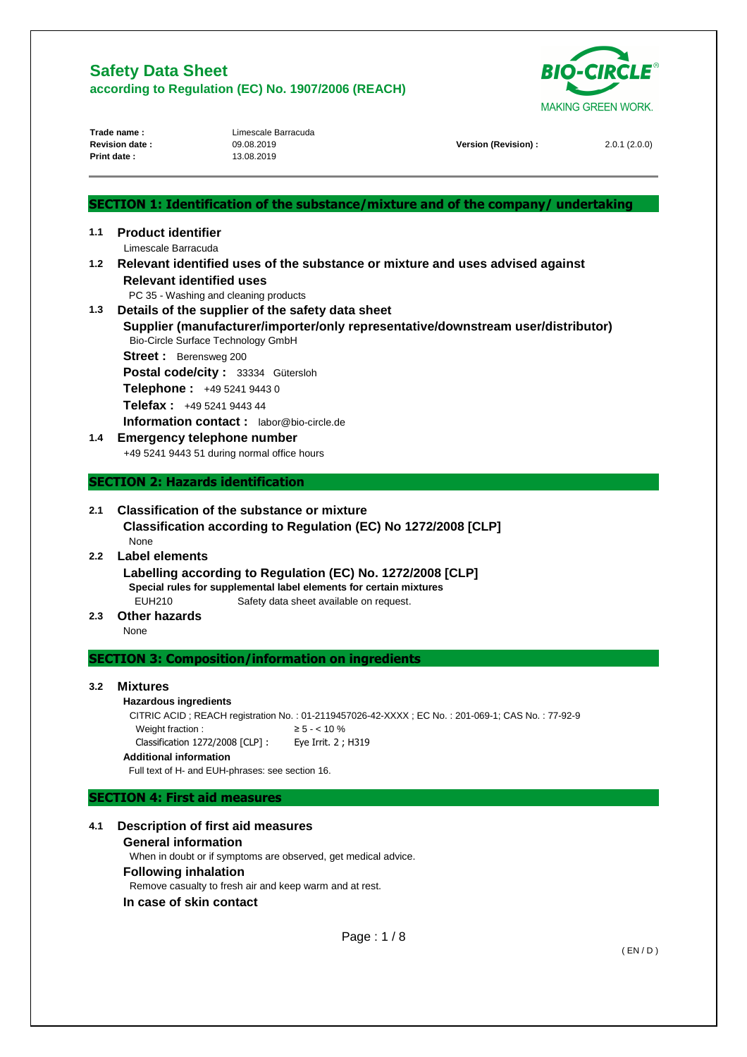

| Trade name:           |  |
|-----------------------|--|
| <b>Revision date:</b> |  |
| Print date:           |  |

Limescale Barracuda<br>09.08.2019 **Print date :** 13.08.2019

| <b>Revision date:</b> | 09.08.2019 | <b>Version (Revision)</b> | 2.0.1(2.0.0) |
|-----------------------|------------|---------------------------|--------------|
|-----------------------|------------|---------------------------|--------------|

|                  | SECTION 1: Identification of the substance/mixture and of the company/ undertaking                                          |        |
|------------------|-----------------------------------------------------------------------------------------------------------------------------|--------|
| 1.1              | <b>Product identifier</b>                                                                                                   |        |
|                  | Limescale Barracuda                                                                                                         |        |
| 1.2              | Relevant identified uses of the substance or mixture and uses advised against                                               |        |
|                  | <b>Relevant identified uses</b>                                                                                             |        |
|                  | PC 35 - Washing and cleaning products                                                                                       |        |
| 1.3              | Details of the supplier of the safety data sheet                                                                            |        |
|                  | Supplier (manufacturer/importer/only representative/downstream user/distributor)<br>Bio-Circle Surface Technology GmbH      |        |
|                  | <b>Street:</b> Berensweg 200                                                                                                |        |
|                  | Postal code/city: 33334 Gütersloh                                                                                           |        |
|                  | Telephone: +49 5241 9443 0                                                                                                  |        |
|                  | Telefax: +49 5241 9443 44                                                                                                   |        |
|                  | <b>Information contact:</b> labor@bio-circle.de                                                                             |        |
| 1.4              | <b>Emergency telephone number</b>                                                                                           |        |
|                  | +49 5241 9443 51 during normal office hours                                                                                 |        |
|                  | <b>SECTION 2: Hazards identification</b>                                                                                    |        |
|                  |                                                                                                                             |        |
| 2.1              | <b>Classification of the substance or mixture</b><br>Classification according to Regulation (EC) No 1272/2008 [CLP]<br>None |        |
| $2.2\phantom{0}$ | <b>Label elements</b>                                                                                                       |        |
|                  | Labelling according to Regulation (EC) No. 1272/2008 [CLP]                                                                  |        |
|                  | Special rules for supplemental label elements for certain mixtures                                                          |        |
|                  | <b>EUH210</b><br>Safety data sheet available on request.                                                                    |        |
| 2.3              | <b>Other hazards</b>                                                                                                        |        |
|                  | None                                                                                                                        |        |
|                  | <b>SECTION 3: Composition/information on ingredients</b>                                                                    |        |
|                  |                                                                                                                             |        |
| 3.2              | <b>Mixtures</b><br><b>Hazardous ingredients</b>                                                                             |        |
|                  | CITRIC ACID; REACH registration No.: 01-2119457026-42-XXXX; EC No.: 201-069-1; CAS No.: 77-92-9                             |        |
|                  | Weight fraction:<br>$\ge 5 - < 10 \%$                                                                                       |        |
|                  | Classification 1272/2008 [CLP] :<br>Eye Irrit. 2 ; H319                                                                     |        |
|                  | <b>Additional information</b>                                                                                               |        |
|                  | Full text of H- and EUH-phrases: see section 16.                                                                            |        |
|                  | <b>SECTION 4: First aid measures</b>                                                                                        |        |
| 4.1              |                                                                                                                             |        |
|                  | <b>Description of first aid measures</b>                                                                                    |        |
|                  | <b>General information</b><br>When in doubt or if symptoms are observed, get medical advice.                                |        |
|                  |                                                                                                                             |        |
|                  | <b>Following inhalation</b><br>Remove casualty to fresh air and keep warm and at rest.                                      |        |
|                  | In case of skin contact                                                                                                     |        |
|                  |                                                                                                                             |        |
|                  | Page: 1/8                                                                                                                   |        |
|                  |                                                                                                                             | (EN/D) |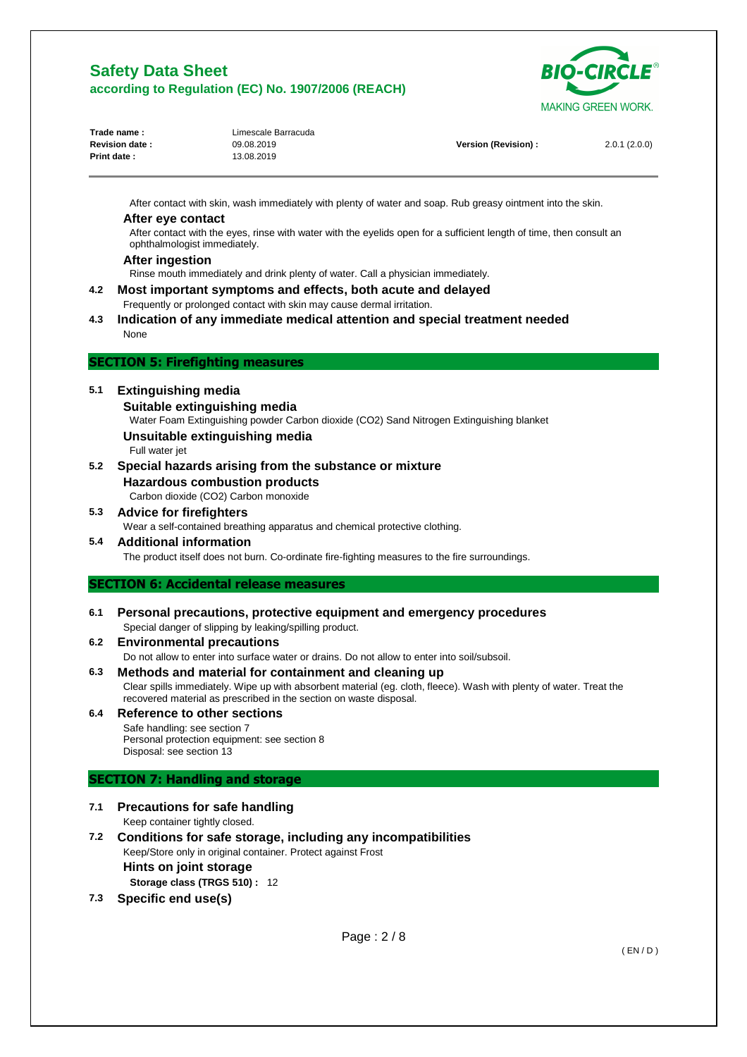

| Trade name :          | Limescale Barracuda |                      |              |
|-----------------------|---------------------|----------------------|--------------|
| <b>Revision date:</b> | 09.08.2019          | Version (Revision) : | 2.0.1(2.0.0) |
| <b>Print date:</b>    | 13.08.2019          |                      |              |
|                       |                     |                      |              |

After contact with skin, wash immediately with plenty of water and soap. Rub greasy ointment into the skin.

#### **After eye contact**

After contact with the eyes, rinse with water with the eyelids open for a sufficient length of time, then consult an ophthalmologist immediately.

#### **After ingestion**

Rinse mouth immediately and drink plenty of water. Call a physician immediately.

**4.2 Most important symptoms and effects, both acute and delayed**  Frequently or prolonged contact with skin may cause dermal irritation.

# **4.3 Indication of any immediate medical attention and special treatment needed**  None

#### **SECTION 5: Firefighting measures**

### **5.1 Extinguishing media**

## **Suitable extinguishing media**

Water Foam Extinguishing powder Carbon dioxide (CO2) Sand Nitrogen Extinguishing blanket **Unsuitable extinguishing media** 

Full water jet

**5.2 Special hazards arising from the substance or mixture Hazardous combustion products** 

Carbon dioxide (CO2) Carbon monoxide

- **5.3 Advice for firefighters** 
	- Wear a self-contained breathing apparatus and chemical protective clothing.
- **5.4 Additional information**  The product itself does not burn. Co-ordinate fire-fighting measures to the fire surroundings.

# **SECTION 6: Accidental release measures**

- **6.1 Personal precautions, protective equipment and emergency procedures**  Special danger of slipping by leaking/spilling product.
- **6.2 Environmental precautions**  Do not allow to enter into surface water or drains. Do not allow to enter into soil/subsoil.
- **6.3 Methods and material for containment and cleaning up**  Clear spills immediately. Wipe up with absorbent material (eg. cloth, fleece). Wash with plenty of water. Treat the recovered material as prescribed in the section on waste disposal.
- **6.4 Reference to other sections**  Safe handling: see section 7 Personal protection equipment: see section 8 Disposal: see section 13

# **SECTION 7: Handling and storage**

- **7.1 Precautions for safe handling**  Keep container tightly closed.
- **7.2 Conditions for safe storage, including any incompatibilities**  Keep/Store only in original container. Protect against Frost **Hints on joint storage Storage class (TRGS 510) :** 12
- **7.3 Specific end use(s)**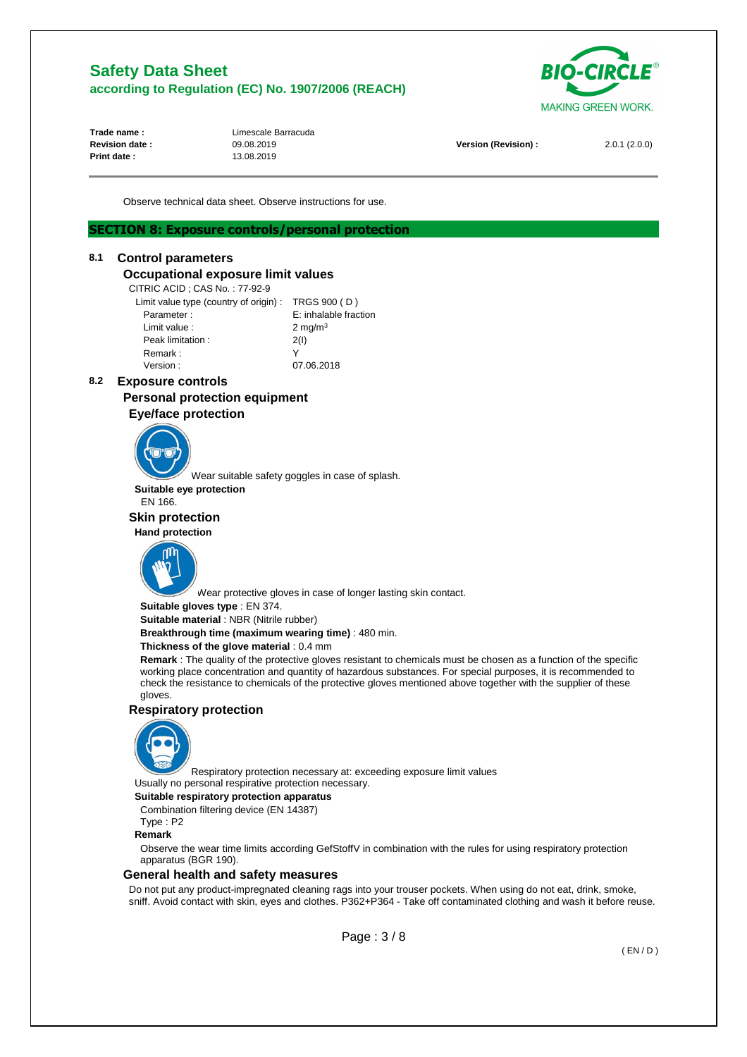

| Trade name:           |
|-----------------------|
| <b>Revision date:</b> |
| Print date:           |

**Limescale Barracuda Print date :** 13.08.2019

**Revision date :** 09.08.2019 **Version (Revision) :** 2.0.1 (2.0.0)

Observe technical data sheet. Observe instructions for use.

### **SECTION 8: Exposure controls/personal protection**

### **8.1 Control parameters**

# **Occupational exposure limit values**

CITRIC ACID ; CAS No. : 77-92-9

| Limit value type (country of origin): $TRGS 900 (D)$ |                       |
|------------------------------------------------------|-----------------------|
| Parameter:                                           | E: inhalable fraction |
| Limit value:                                         | $2 \text{ mg/m}^3$    |
| Peak limitation:                                     | 2(1)                  |
| Remark:                                              | Y                     |
| Version :                                            | 07.06.2018            |
|                                                      |                       |

**8.2 Exposure controls** 

# **Personal protection equipment**

# **Eye/face protection**



Wear suitable safety goggles in case of splash.

**Suitable eye protection** 

EN 166.

 **Skin protection Hand protection** 



Wear protective gloves in case of longer lasting skin contact.

**Suitable gloves type** : EN 374.

**Suitable material** : NBR (Nitrile rubber)

**Breakthrough time (maximum wearing time)** : 480 min.

#### **Thickness of the glove material** : 0.4 mm

**Remark** : The quality of the protective gloves resistant to chemicals must be chosen as a function of the specific working place concentration and quantity of hazardous substances. For special purposes, it is recommended to check the resistance to chemicals of the protective gloves mentioned above together with the supplier of these gloves.

# **Respiratory protection**



Respiratory protection necessary at: exceeding exposure limit values Usually no personal respirative protection necessary.

#### **Suitable respiratory protection apparatus**

Combination filtering device (EN 14387)

Type : P2

**Remark** 

Observe the wear time limits according GefStoffV in combination with the rules for using respiratory protection apparatus (BGR 190).

## **General health and safety measures**

Do not put any product-impregnated cleaning rags into your trouser pockets. When using do not eat, drink, smoke, sniff. Avoid contact with skin, eyes and clothes. P362+P364 - Take off contaminated clothing and wash it before reuse.

Page : 3 / 8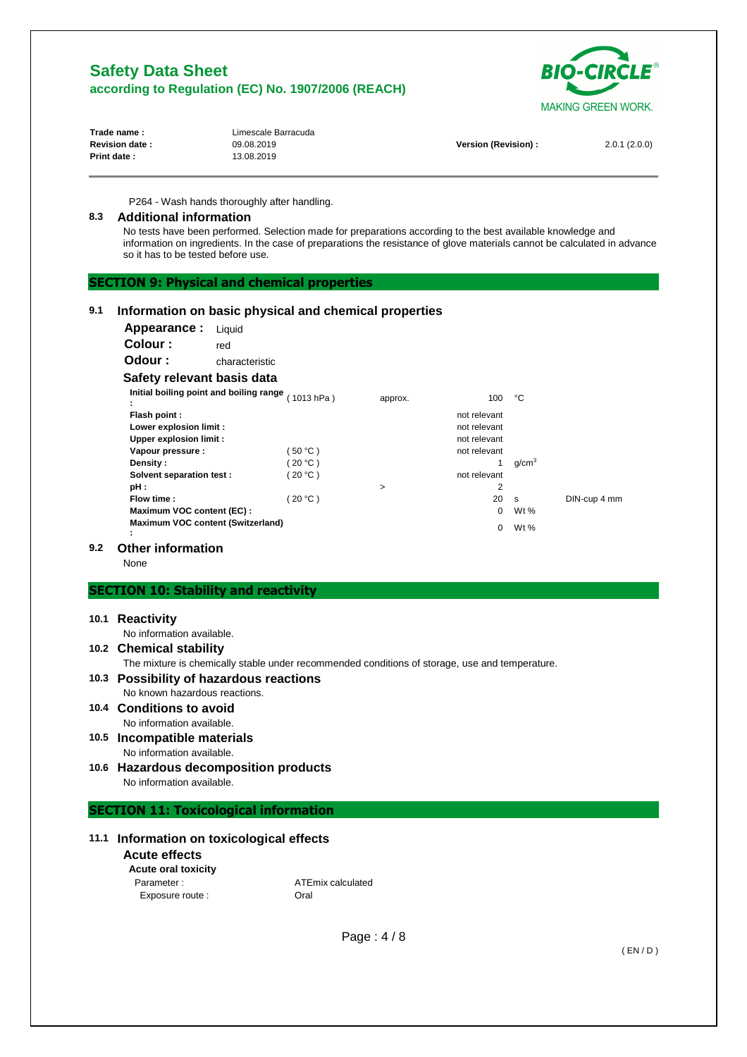

| Trade name:           | Limescale Barracuda |                      |              |
|-----------------------|---------------------|----------------------|--------------|
| <b>Revision date:</b> | 09.08.2019          | Version (Revision) : | 2.0.1(2.0.0) |
| <b>Print date:</b>    | 13.08.2019          |                      |              |
|                       |                     |                      |              |

P264 - Wash hands thoroughly after handling.

#### **8.3 Additional information**

No tests have been performed. Selection made for preparations according to the best available knowledge and information on ingredients. In the case of preparations the resistance of glove materials cannot be calculated in advance so it has to be tested before use.

# **SECTION 9: Physical and chemical properties**

# **9.1 Information on basic physical and chemical properties**

| Appearance :<br>Liquid                                                         |                |         |              |                   |              |
|--------------------------------------------------------------------------------|----------------|---------|--------------|-------------------|--------------|
| Colour:<br>red                                                                 |                |         |              |                   |              |
| Odour :                                                                        | characteristic |         |              |                   |              |
| Safety relevant basis data                                                     |                |         |              |                   |              |
| Initial boiling point and boiling range (1013 hPa)<br>$\overline{\phantom{a}}$ |                | approx. | 100          | °С                |              |
| Flash point:                                                                   |                |         | not relevant |                   |              |
| Lower explosion limit :                                                        |                |         | not relevant |                   |              |
| <b>Upper explosion limit:</b>                                                  |                |         | not relevant |                   |              |
| Vapour pressure :                                                              | $50 °C$ )      |         | not relevant |                   |              |
| Density :                                                                      | (20 °C)        |         | 1            | q/cm <sup>3</sup> |              |
| Solvent separation test :                                                      | 20 °C )        |         | not relevant |                   |              |
| pH:                                                                            |                | >       | 2            |                   |              |
| Flow time:                                                                     | (20 °C )       |         | 20           | <b>S</b>          | DIN-cup 4 mm |
| Maximum VOC content (EC):                                                      |                |         | 0            | Wt %              |              |
| Maximum VOC content (Switzerland)                                              |                |         | 0            | Wt $%$            |              |
| ٠                                                                              |                |         |              |                   |              |

# **9.2 Other information**

None

# **SECTION 10: Stability and reactivity**

#### **10.1 Reactivity**

No information available.

**10.2 Chemical stability** 

The mixture is chemically stable under recommended conditions of storage, use and temperature.

### **10.3 Possibility of hazardous reactions**  No known hazardous reactions.

- **10.4 Conditions to avoid**  No information available.
- **10.5 Incompatible materials**  No information available.
- **10.6 Hazardous decomposition products**  No information available.

# **SECTION 11: Toxicological information**

# **11.1 Information on toxicological effects**

#### **Acute effects**

 **Acute oral toxicity**  Parameter : ATEmix calculated Exposure route : Call Coral

Page : 4 / 8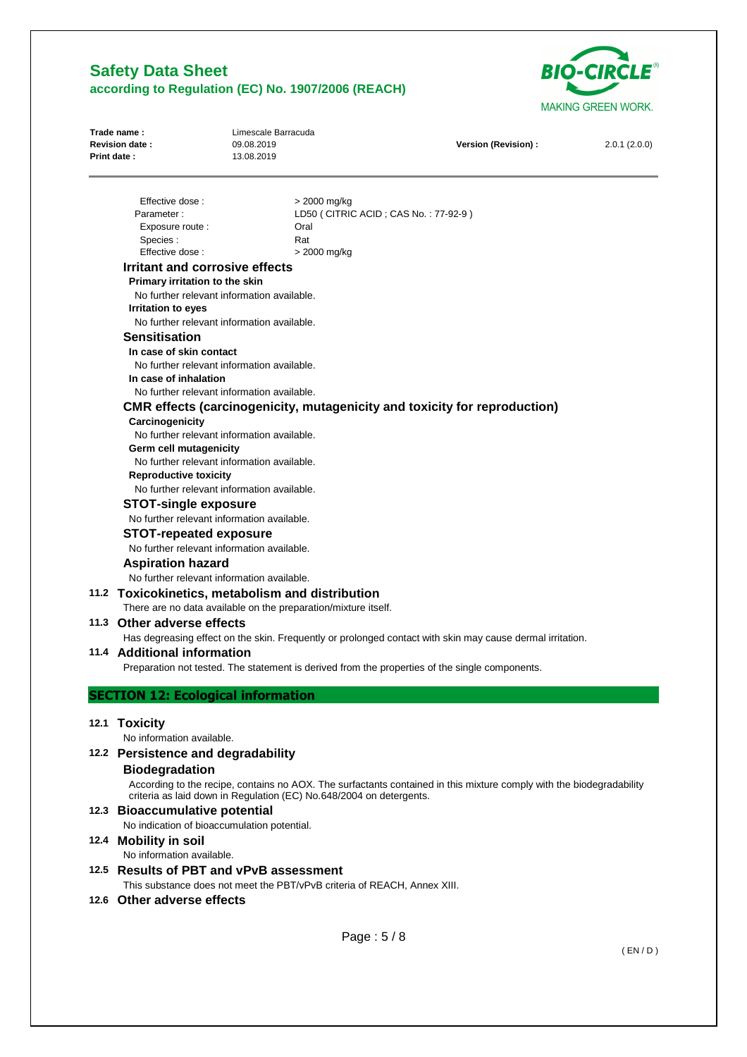

| Trade name:<br>Revision date:<br>Print date: |                                                                | Limescale Barracuda<br>09.08.2019<br>13.08.2019 | Version (Revision) :                                                                                                 | 2.0.1(2.0.0) |
|----------------------------------------------|----------------------------------------------------------------|-------------------------------------------------|----------------------------------------------------------------------------------------------------------------------|--------------|
|                                              |                                                                |                                                 |                                                                                                                      |              |
|                                              | Effective dose:                                                |                                                 | > 2000 mg/kg                                                                                                         |              |
|                                              | Parameter:                                                     |                                                 | LD50 (CITRIC ACID; CAS No.: 77-92-9)                                                                                 |              |
|                                              | Exposure route :                                               |                                                 | Oral                                                                                                                 |              |
|                                              | Species :                                                      |                                                 | Rat                                                                                                                  |              |
|                                              | Effective dose:                                                |                                                 | > 2000 mg/kg                                                                                                         |              |
|                                              | Irritant and corrosive effects                                 |                                                 |                                                                                                                      |              |
|                                              | Primary irritation to the skin                                 |                                                 |                                                                                                                      |              |
|                                              | No further relevant information available.                     |                                                 |                                                                                                                      |              |
|                                              | <b>Irritation to eyes</b>                                      |                                                 |                                                                                                                      |              |
|                                              | No further relevant information available.                     |                                                 |                                                                                                                      |              |
|                                              | <b>Sensitisation</b>                                           |                                                 |                                                                                                                      |              |
|                                              | In case of skin contact                                        |                                                 |                                                                                                                      |              |
|                                              | No further relevant information available.                     |                                                 |                                                                                                                      |              |
|                                              | In case of inhalation                                          |                                                 |                                                                                                                      |              |
|                                              | No further relevant information available.                     |                                                 |                                                                                                                      |              |
|                                              |                                                                |                                                 | <b>CMR effects (carcinogenicity, mutagenicity and toxicity for reproduction)</b>                                     |              |
|                                              | Carcinogenicity                                                |                                                 |                                                                                                                      |              |
|                                              | No further relevant information available.                     |                                                 |                                                                                                                      |              |
|                                              | Germ cell mutagenicity                                         |                                                 |                                                                                                                      |              |
|                                              | No further relevant information available.                     |                                                 |                                                                                                                      |              |
|                                              | <b>Reproductive toxicity</b>                                   |                                                 |                                                                                                                      |              |
|                                              | No further relevant information available.                     |                                                 |                                                                                                                      |              |
|                                              | <b>STOT-single exposure</b>                                    |                                                 |                                                                                                                      |              |
|                                              | No further relevant information available.                     |                                                 |                                                                                                                      |              |
|                                              | <b>STOT-repeated exposure</b>                                  |                                                 |                                                                                                                      |              |
|                                              | No further relevant information available.                     |                                                 |                                                                                                                      |              |
|                                              | <b>Aspiration hazard</b>                                       |                                                 |                                                                                                                      |              |
|                                              | No further relevant information available.                     |                                                 |                                                                                                                      |              |
|                                              |                                                                |                                                 |                                                                                                                      |              |
|                                              | 11.2 Toxicokinetics, metabolism and distribution               |                                                 |                                                                                                                      |              |
|                                              | There are no data available on the preparation/mixture itself. |                                                 |                                                                                                                      |              |
|                                              | 11.3 Other adverse effects                                     |                                                 |                                                                                                                      |              |
|                                              |                                                                |                                                 | Has degreasing effect on the skin. Frequently or prolonged contact with skin may cause dermal irritation.            |              |
|                                              | 11.4 Additional information                                    |                                                 |                                                                                                                      |              |
|                                              |                                                                |                                                 | Preparation not tested. The statement is derived from the properties of the single components.                       |              |
|                                              | <b>SECTION 12: Ecological information</b>                      |                                                 |                                                                                                                      |              |
|                                              | 12.1 Toxicity                                                  |                                                 |                                                                                                                      |              |
|                                              | No information available.                                      |                                                 |                                                                                                                      |              |
|                                              |                                                                |                                                 |                                                                                                                      |              |
|                                              | 12.2 Persistence and degradability                             |                                                 |                                                                                                                      |              |
|                                              | <b>Biodegradation</b>                                          |                                                 |                                                                                                                      |              |
|                                              |                                                                |                                                 | According to the recipe, contains no AOX. The surfactants contained in this mixture comply with the biodegradability |              |
|                                              |                                                                |                                                 | criteria as laid down in Regulation (EC) No.648/2004 on detergents.                                                  |              |
|                                              | 12.3 Bioaccumulative potential                                 |                                                 |                                                                                                                      |              |
|                                              | No indication of bioaccumulation potential.                    |                                                 |                                                                                                                      |              |
|                                              | 12.4 Mobility in soil                                          |                                                 |                                                                                                                      |              |
|                                              | No information available.                                      |                                                 |                                                                                                                      |              |
|                                              | 12.5 Results of PBT and vPvB assessment                        |                                                 |                                                                                                                      |              |
|                                              |                                                                |                                                 | This substance does not meet the PBT/vPvB criteria of REACH, Annex XIII.                                             |              |
|                                              | 12.6 Other adverse effects                                     |                                                 |                                                                                                                      |              |
|                                              |                                                                |                                                 |                                                                                                                      |              |
|                                              |                                                                |                                                 | Page: $5/8$                                                                                                          |              |
|                                              |                                                                |                                                 |                                                                                                                      | (EN/D)       |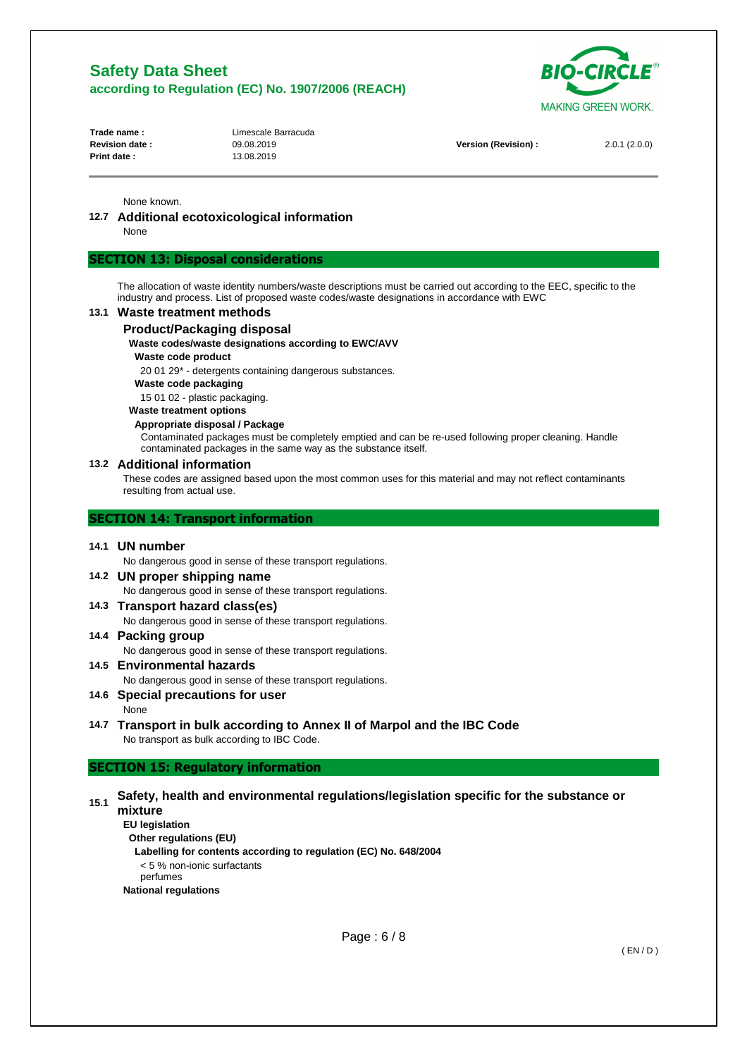

| Trade name:           |  |
|-----------------------|--|
| <b>Revision date:</b> |  |
| Print date:           |  |

Limescale Barracuda **Print date :** 13.08.2019

| <b>Revision date:</b> | 09.08.2019 | <b>Version (Revision)</b> | 2.0.1(2.0.0) |
|-----------------------|------------|---------------------------|--------------|
|-----------------------|------------|---------------------------|--------------|

#### None known.

# **12.7 Additional ecotoxicological information**

None

# **SECTION 13: Disposal considerations**

The allocation of waste identity numbers/waste descriptions must be carried out according to the EEC, specific to the industry and process. List of proposed waste codes/waste designations in accordance with EWC

#### **13.1 Waste treatment methods**

# **Product/Packaging disposal**

#### **Waste codes/waste designations according to EWC/AVV**

#### **Waste code product**

20 01 29\* - detergents containing dangerous substances.

- **Waste code packaging**
- 15 01 02 plastic packaging.
- **Waste treatment options**

#### **Appropriate disposal / Package**

Contaminated packages must be completely emptied and can be re-used following proper cleaning. Handle contaminated packages in the same way as the substance itself.

#### **13.2 Additional information**

These codes are assigned based upon the most common uses for this material and may not reflect contaminants resulting from actual use.

#### **SECTION 14: Transport information**

#### **14.1 UN number**

No dangerous good in sense of these transport regulations.

- **14.2 UN proper shipping name**  No dangerous good in sense of these transport regulations.
- **14.3 Transport hazard class(es)**

No dangerous good in sense of these transport regulations.

## **14.4 Packing group**

No dangerous good in sense of these transport regulations.

**14.5 Environmental hazards** 

No dangerous good in sense of these transport regulations.

### **14.6 Special precautions for user**

None

# **14.7 Transport in bulk according to Annex II of Marpol and the IBC Code**

No transport as bulk according to IBC Code.

# **SECTION 15: Regulatory information**

### **15.1 Safety, health and environmental regulations/legislation specific for the substance or mixture**

**EU legislation** 

**Other regulations (EU)** 

 **Labelling for contents according to regulation (EC) No. 648/2004**  < 5 % non-ionic surfactants perfumes

**National regulations**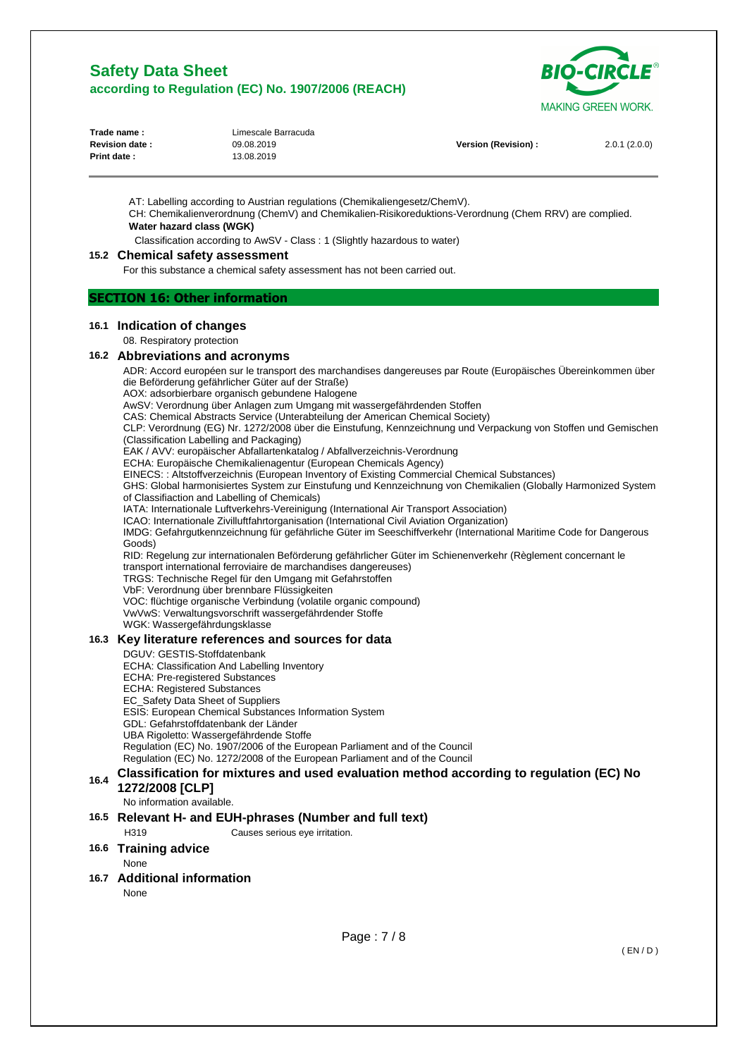

| Trade name:           | Limescale Barracuda |                      |              |
|-----------------------|---------------------|----------------------|--------------|
| <b>Revision date:</b> | 09.08.2019          | Version (Revision) : | 2.0.1(2.0.0) |
| <b>Print date:</b>    | 13.08.2019          |                      |              |
|                       |                     |                      |              |

AT: Labelling according to Austrian regulations (Chemikaliengesetz/ChemV).

CH: Chemikalienverordnung (ChemV) and Chemikalien-Risikoreduktions-Verordnung (Chem RRV) are complied. **Water hazard class (WGK)** 

Classification according to AwSV - Class : 1 (Slightly hazardous to water)

#### **15.2 Chemical safety assessment**

For this substance a chemical safety assessment has not been carried out.

#### **SECTION 16: Other information**

#### **16.1 Indication of changes**

08. Respiratory protection

#### **16.2 Abbreviations and acronyms**

ADR: Accord européen sur le transport des marchandises dangereuses par Route (Europäisches Übereinkommen über die Beförderung gefährlicher Güter auf der Straße)

AOX: adsorbierbare organisch gebundene Halogene

AwSV: Verordnung über Anlagen zum Umgang mit wassergefährdenden Stoffen

CAS: Chemical Abstracts Service (Unterabteilung der American Chemical Society)

CLP: Verordnung (EG) Nr. 1272/2008 über die Einstufung, Kennzeichnung und Verpackung von Stoffen und Gemischen (Classification Labelling and Packaging)

EAK / AVV: europäischer Abfallartenkatalog / Abfallverzeichnis-Verordnung

ECHA: Europäische Chemikalienagentur (European Chemicals Agency)

EINECS: : Altstoffverzeichnis (European Inventory of Existing Commercial Chemical Substances)

GHS: Global harmonisiertes System zur Einstufung und Kennzeichnung von Chemikalien (Globally Harmonized System of Classifiaction and Labelling of Chemicals)

IATA: Internationale Luftverkehrs-Vereinigung (International Air Transport Association)

ICAO: Internationale Zivilluftfahrtorganisation (International Civil Aviation Organization)

IMDG: Gefahrgutkennzeichnung für gefährliche Güter im Seeschiffverkehr (International Maritime Code for Dangerous Goods)

RID: Regelung zur internationalen Beförderung gefährlicher Güter im Schienenverkehr (Règlement concernant le transport international ferroviaire de marchandises dangereuses)

TRGS: Technische Regel für den Umgang mit Gefahrstoffen

VbF: Verordnung über brennbare Flüssigkeiten

VOC: flüchtige organische Verbindung (volatile organic compound)

VwVwS: Verwaltungsvorschrift wassergefährdender Stoffe

WGK: Wassergefährdungsklasse

#### **16.3 Key literature references and sources for data**

DGUV: GESTIS-Stoffdatenbank

ECHA: Classification And Labelling Inventory

ECHA: Pre-registered Substances

ECHA: Registered Substances

EC\_Safety Data Sheet of Suppliers

ESIS: European Chemical Substances Information System

GDL: Gefahrstoffdatenbank der Länder

UBA Rigoletto: Wassergefährdende Stoffe

Regulation (EC) No. 1907/2006 of the European Parliament and of the Council

Regulation (EC) No. 1272/2008 of the European Parliament and of the Council

# **16.4 Classification for mixtures and used evaluation method according to regulation (EC) No**

**1272/2008 [CLP]** 

No information available.

### **16.5 Relevant H- and EUH-phrases (Number and full text)**

# H319 Causes serious eye irritation.

# **16.6 Training advice**

None

#### **16.7 Additional information**

None